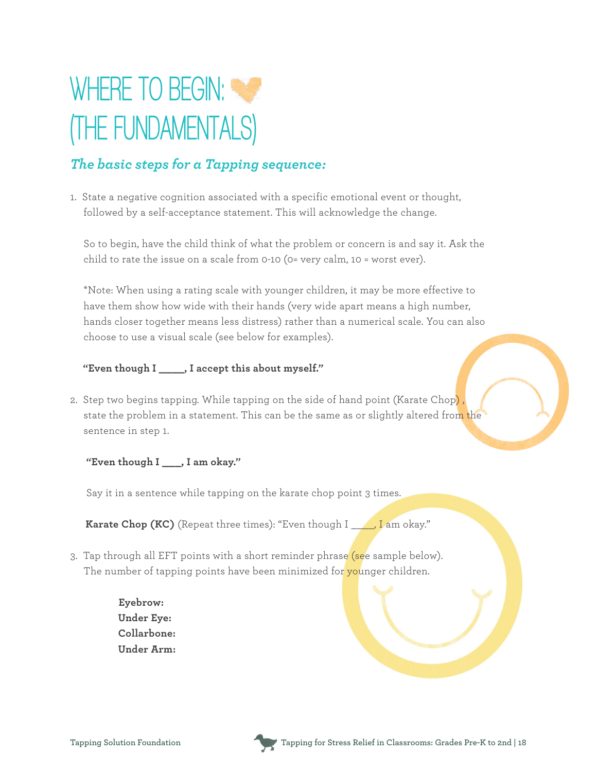

#### *The basic steps for a Tapping sequence:*

1. State a negative cognition associated with a specific emotional event or thought, followed by a self-acceptance statement. This will acknowledge the change.

 So to begin, have the child think of what the problem or concern is and say it. Ask the child to rate the issue on a scale from 0-10 (0= very calm, 10 = worst ever).

 \*Note: When using a rating scale with younger children, it may be more effective to have them show how wide with their hands (very wide apart means a high number, hands closer together means less distress) rather than a numerical scale. You can also choose to use a visual scale (see below for examples).

#### **"Even though I \_\_\_\_, I accept this about myself."**

2. Step two begins tapping. While tapping on the side of hand point (Karate Chop) , state the problem in a statement. This can be the same as or slightly altered from the sentence in step 1.

**"Even though I \_\_\_, I am okay."**

Say it in a sentence while tapping on the karate chop point 3 times.

**Karate Chop (KC)** (Repeat three times): "Even though I \_\_\_\_, I am okay."

- 3. Tap through all EFT points with a short reminder phrase (see sample below). The number of tapping points have been minimized for younger children.
	- **Eyebrow: Under Eye: Collarbone: Under Arm:**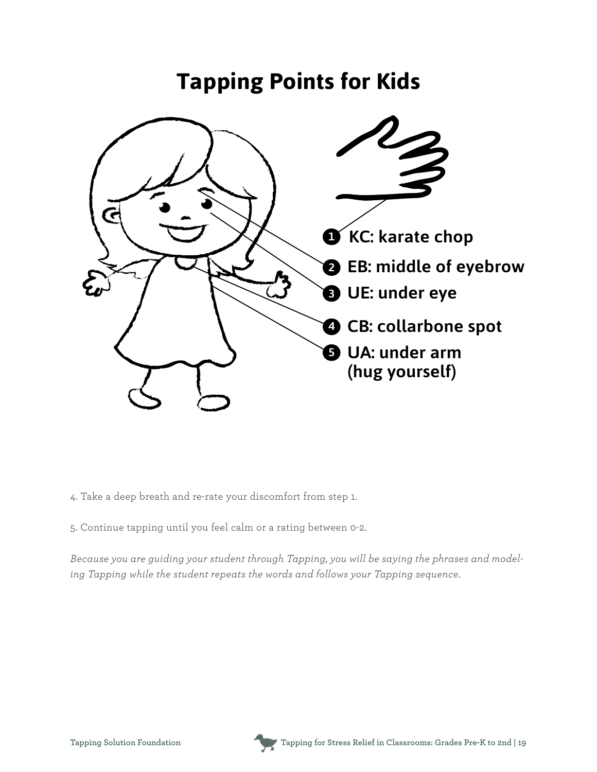## **Tapping Points for Kids**



- 4. Take a deep breath and re-rate your discomfort from step 1.
- 5. Continue tapping until you feel calm or a rating between 0-2.

*Because you are guiding your student through Tapping, you will be saying the phrases and modeling Tapping while the student repeats the words and follows your Tapping sequence.* 

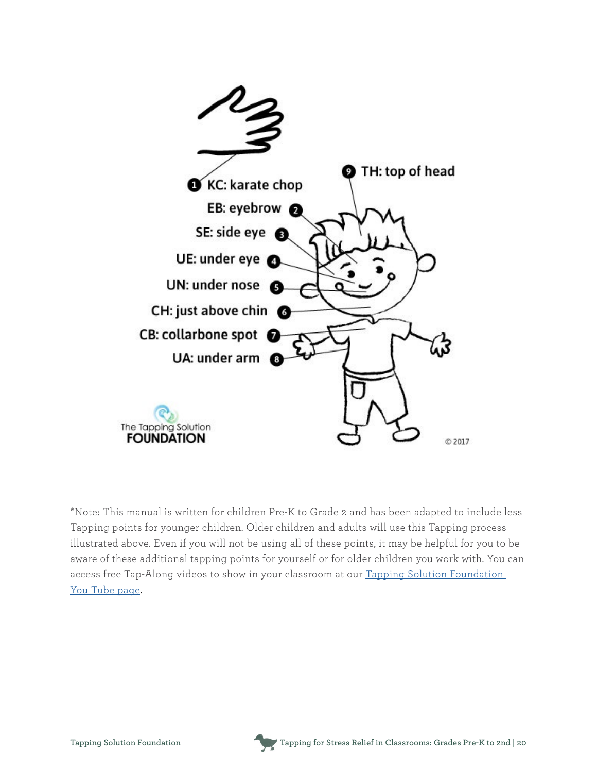

\*Note: This manual is written for children Pre-K to Grade 2 and has been adapted to include less Tapping points for younger children. Older children and adults will use this Tapping process illustrated above. Even if you will not be using all of these points, it may be helpful for you to be aware of these additional tapping points for yourself or for older children you work with. You can access free Tap-Along videos to show in your classroom at our [Tapping Solution Foundation](http://bit.ly/Tap-AlongVideos)  [You Tube page.](http://bit.ly/Tap-AlongVideos)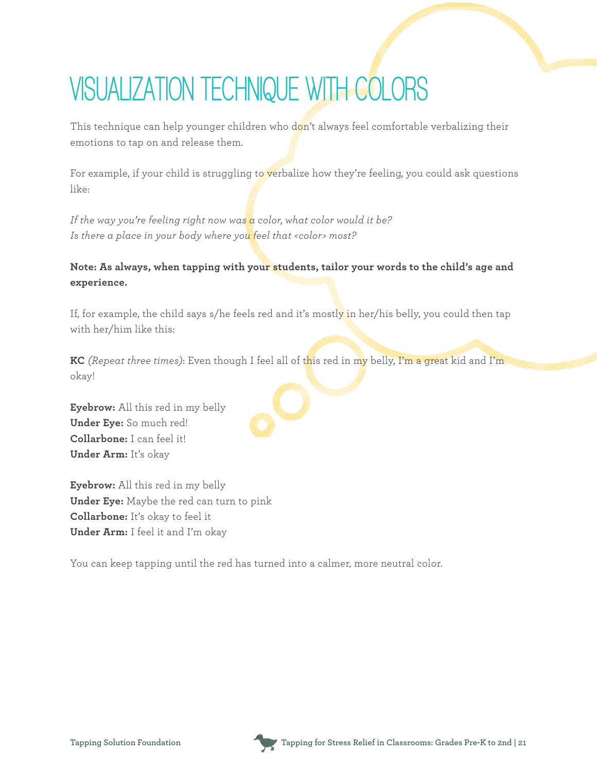# **VISUALIZATION TECHNIQUE WITH COLORS**

This technique can help younger children who don't always feel comfortable verbalizing their emotions to tap on and release them.

For example, if your child is struggling to verbalize how they're feeling, you could ask questions like:

*If the way you're feeling right now was a color, what color would it be? Is there a place in your body where you feel that <color> most?*

#### **Note: As always, when tapping with your students, tailor your words to the child's age and experience.**

If, for example, the child says s/he feels red and it's mostly in her/his belly, you could then tap with her/him like this:

**KC** *(Repeat three times)*: Even though I feel all of this red in my belly, I'm a great kid and I'm okay!

**Eyebrow:** All this red in my belly **Under Eye:** So much red! **Collarbone:** I can feel it! **Under Arm:** It's okay

**Eyebrow:** All this red in my belly **Under Eye:** Maybe the red can turn to pink **Collarbone:** It's okay to feel it **Under Arm:** I feel it and I'm okay

You can keep tapping until the red has turned into a calmer, more neutral color.

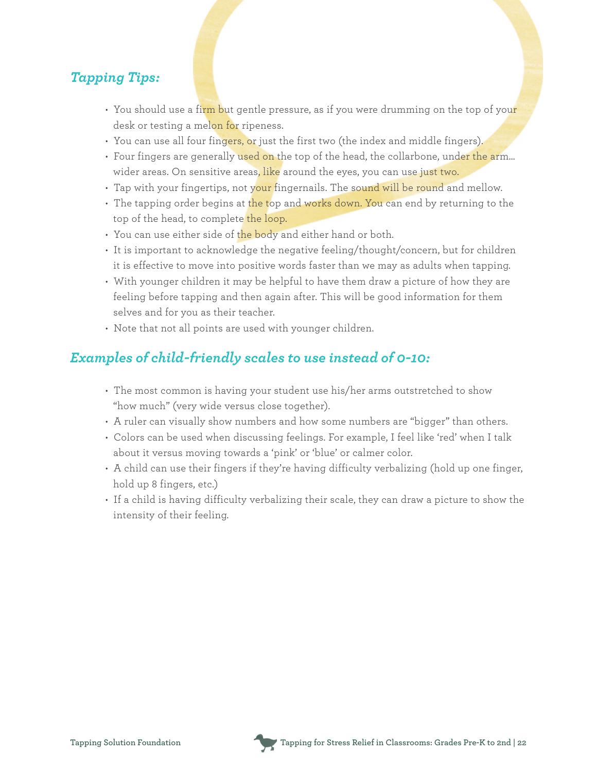#### *Tapping Tips:*

- You should use a firm but gentle pressure, as if you were drumming on the top of your desk or testing a melon for ripeness.
- You can use all four fingers, or just the first two (the index and middle fingers).
- Four fingers are generally used on the top of the head, the collarbone, under the arm... wider areas. On sensitive areas<mark>, like</mark> around the eyes, you can use just two.
- Tap with your fingertips, not your fingernails. The sound will be round and mellow.
- The tapping order begins at the top and works down. You can end by returning to the top of the head, to complete the loop.
- You can use either side of the body and either hand or both.
- It is important to acknowledge the negative feeling/thought/concern, but for children it is effective to move into positive words faster than we may as adults when tapping.
- With younger children it may be helpful to have them draw a picture of how they are feeling before tapping and then again after. This will be good information for them selves and for you as their teacher.
- Note that not all points are used with younger children.

### *Examples of child-friendly scales to use instead of 0-10:*

- The most common is having your student use his/her arms outstretched to show "how much" (very wide versus close together).
- A ruler can visually show numbers and how some numbers are "bigger" than others.
- Colors can be used when discussing feelings. For example, I feel like 'red' when I talk about it versus moving towards a 'pink' or 'blue' or calmer color.
- A child can use their fingers if they're having difficulty verbalizing (hold up one finger, hold up 8 fingers, etc.)
- If a child is having difficulty verbalizing their scale, they can draw a picture to show the intensity of their feeling.

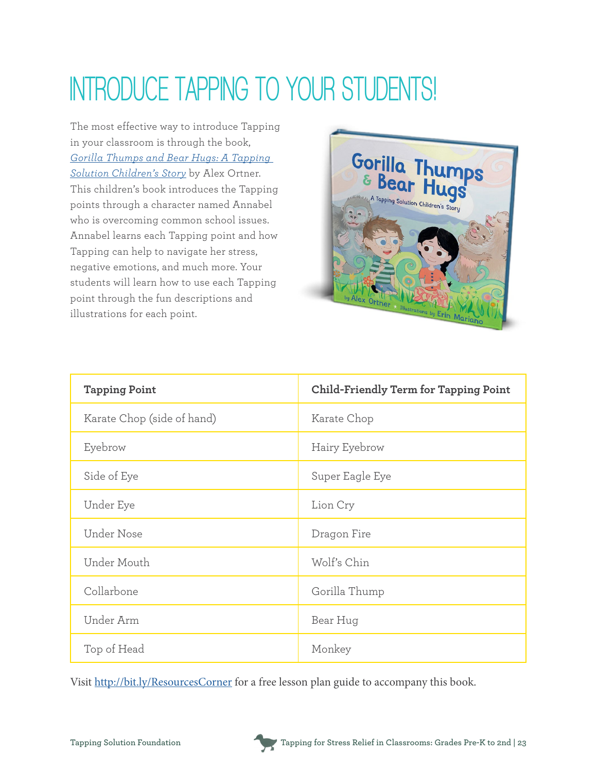# **INTRODUCE TAPPING TO YOUR STUDENTS!**

The most effective way to introduce Tapping in your classroom is through the book, *[Gorilla Thumps and Bear Hugs: A Tapping](http://bit.ly/GorillaThumps)  [Solution Children's](http://bit.ly/GorillaThumps) Story* by Alex Ortner. This children's book introduces the Tapping points through a character named Annabel who is overcoming common school issues. Annabel learns each Tapping point and how Tapping can help to navigate her stress, negative emotions, and much more. Your students will learn how to use each Tapping point through the fun descriptions and illustrations for each point.



| <b>Tapping Point</b>       | Child-Friendly Term for Tapping Point |
|----------------------------|---------------------------------------|
| Karate Chop (side of hand) | Karate Chop                           |
| Eyebrow                    | Hairy Eyebrow                         |
| Side of Eye                | Super Eagle Eye                       |
| Under Eye                  | Lion Cry                              |
| Under Nose                 | Dragon Fire                           |
| Under Mouth                | Wolf's Chin                           |
| Collarbone                 | Gorilla Thump                         |
| Under Arm                  | Bear Hug                              |
| Top of Head                | Monkey                                |

Visit <http://bit.ly/ResourcesCorner> for a free lesson plan guide to accompany this book.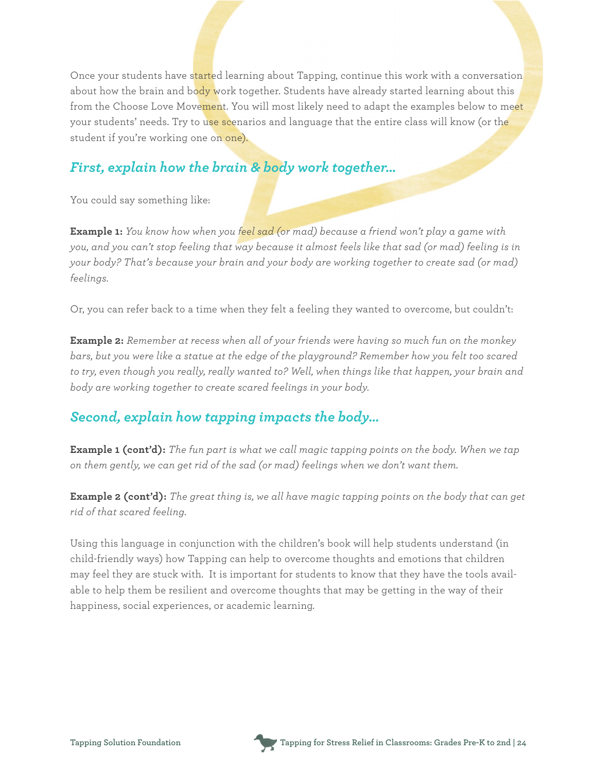Once your students have started learning about Tapping, continue this work with a conversation about how the brain and body work together. Students have already started learning about this from the Choose Love Movement. You will most likely need to adapt the examples below to meet your students' needs. Try to use scenarios and language that the entire class will know (or the student if you're working one on one).

#### *First, explain how the brain & body work together…*

You could say something like:

**Example 1:** *You know how when you feel sad (or mad) because a friend won't play a game with you, and you can't stop feeling that way because it almost feels like that sad (or mad) feeling is in your body? That's because your brain and your body are working together to create sad (or mad) feelings.*

Or, you can refer back to a time when they felt a feeling they wanted to overcome, but couldn't:

**Example 2:** *Remember at recess when all of your friends were having so much fun on the monkey bars, but you were like a statue at the edge of the playground? Remember how you felt too scared to try, even though you really, really wanted to? Well, when things like that happen, your brain and body are working together to create scared feelings in your body.*

### *Second, explain how tapping impacts the body…*

**Example 1 (cont'd):** *The fun part is what we call magic tapping points on the body. When we tap on them gently, we can get rid of the sad (or mad) feelings when we don't want them.*

**Example 2 (cont'd):** *The great thing is, we all have magic tapping points on the body that can get rid of that scared feeling.*

Using this language in conjunction with the children's book will help students understand (in child-friendly ways) how Tapping can help to overcome thoughts and emotions that children may feel they are stuck with. It is important for students to know that they have the tools available to help them be resilient and overcome thoughts that may be getting in the way of their happiness, social experiences, or academic learning.